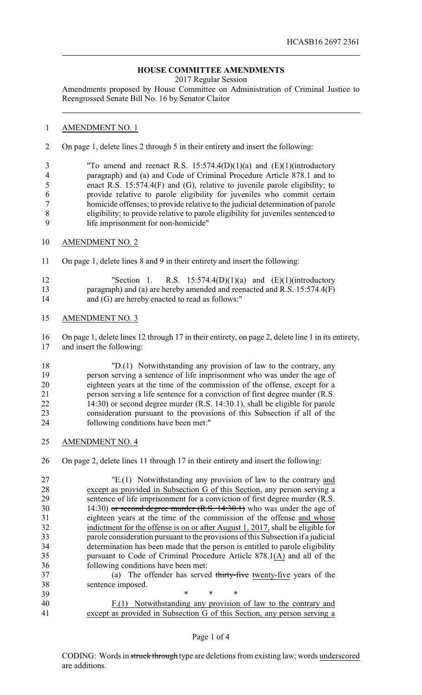## **HOUSE COMMITTEE AMENDMENTS**

2017 Regular Session

Amendments proposed by House Committee on Administration of Criminal Justice to Reengrossed Senate Bill No. 16 by Senator Claitor

## AMENDMENT NO. 1

On page 1, delete lines 2 through 5 in their entirety and insert the following:

 "To amend and reenact R.S. 15:574.4(D)(1)(a) and (E)(1)(introductory paragraph) and (a) and Code of Criminal Procedure Article 878.1 and to enact R.S. 15:574.4(F) and (G), relative to juvenile parole eligibility; to provide relative to parole eligibility for juveniles who commit certain homicide offenses; to provide relative to the judicial determination of parole eligibility; to provide relative to parole eligibility for juveniles sentenced to life imprisonment for non-homicide"

- AMENDMENT NO. 2
- On page 1, delete lines 8 and 9 in their entirety and insert the following:

| 12 | "Section 1. R.S. $15:574.4(D)(1)(a)$ and $(E)(1)(introductory)$            |
|----|----------------------------------------------------------------------------|
| 13 | paragraph) and (a) are hereby amended and reenacted and R.S. $15:574.4(F)$ |
| 14 | and (G) are hereby enacted to read as follows:"                            |

AMENDMENT NO. 3

 On page 1, delete lines 12 through 17 in their entirety, on page 2, delete line 1 in its entirety, and insert the following:

 "D.(1) Notwithstanding any provision of law to the contrary, any person serving a sentence of life imprisonment who was under the age of eighteen years at the time of the commission of the offense, except for a person serving a life sentence for a conviction of first degree murder (R.S. 14:30) or second degree murder (R.S. 14:30.1), shall be eligible for parole consideration pursuant to the provisions of this Subsection if all of the following conditions have been met:"

AMENDMENT NO. 4

On page 2, delete lines 11 through 17 in their entirety and insert the following:

 "E.(1) Notwithstanding any provision of law to the contrary and except as provided in Subsection G of this Section, any person serving a sentence of life imprisonment for a conviction of first degree murder (R.S. 30 14:30) or second degree murder (R.S. 14:30.1) who was under the age of eighteen years at the time of the commission of the offense and whose indictment for the offense is on or after August 1, 2017, shall be eligible for parole consideration pursuant to the provisions of this Subsection if a judicial determination has been made that the person is entitled to parole eligibility pursuant to Code of Criminal Procedure Article 878.1(A) and all of the following conditions have been met: (a) The offender has served thirty-five twenty-five years of the sentence imposed. \* \* \*

 F.(1) Notwithstanding any provision of law to the contrary and except as provided in Subsection G of this Section, any person serving a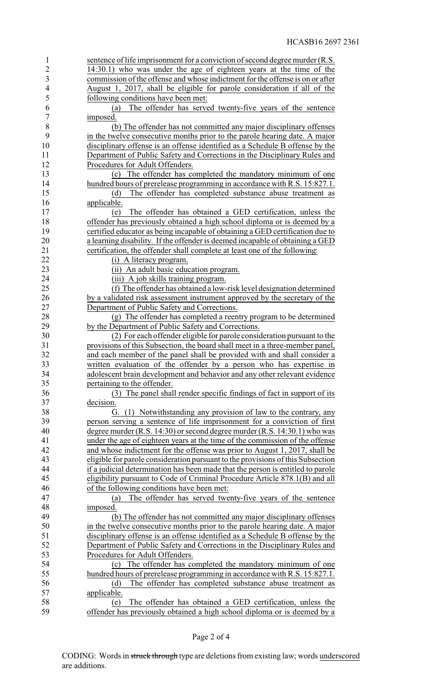| $\mathbf{1}$   | sentence of life imprisonment for a conviction of second degree murder (R.S.    |
|----------------|---------------------------------------------------------------------------------|
| $\overline{2}$ | 14:30.1) who was under the age of eighteen years at the time of the             |
| $\overline{3}$ | commission of the offense and whose indictment for the offense is on or after   |
| $\overline{4}$ | August 1, 2017, shall be eligible for parole consideration if all of the        |
| 5              | following conditions have been met:                                             |
| 6              | The offender has served twenty-five years of the sentence<br>(a)                |
| $\tau$         | imposed.                                                                        |
| 8              | (b) The offender has not committed any major disciplinary offenses              |
| 9              | in the twelve consecutive months prior to the parole hearing date. A major      |
| 10             | disciplinary offense is an offense identified as a Schedule B offense by the    |
| 11             |                                                                                 |
| 12             | Department of Public Safety and Corrections in the Disciplinary Rules and       |
|                | Procedures for Adult Offenders.                                                 |
| 13             | (c) The offender has completed the mandatory minimum of one                     |
| 14             | hundred hours of prerelease programming in accordance with R.S. 15:827.1.       |
| 15             | The offender has completed substance abuse treatment as<br>(d)                  |
| 16             | applicable.                                                                     |
| 17             | The offender has obtained a GED certification, unless the<br>(e)                |
| 18             | offender has previously obtained a high school diploma or is deemed by a        |
| 19             | certified educator as being incapable of obtaining a GED certification due to   |
| 20             | a learning disability. If the offender is deemed incapable of obtaining a GED   |
| 21             | certification, the offender shall complete at least one of the following:       |
| 22             | (i) A literacy program.                                                         |
| 23             | (ii) An adult basic education program.                                          |
| 24             | (iii) A job skills training program.                                            |
| 25             | (f) The offender has obtained a low-risk level designation determined           |
| 26             | by a validated risk assessment instrument approved by the secretary of the      |
| 27             | Department of Public Safety and Corrections.                                    |
| 28             | (g) The offender has completed a reentry program to be determined               |
| 29             | by the Department of Public Safety and Corrections.                             |
| 30             | (2) For each offender eligible for parole consideration pursuant to the         |
| 31             | provisions of this Subsection, the board shall meet in a three-member panel,    |
| 32             | and each member of the panel shall be provided with and shall consider a        |
| 33             | written evaluation of the offender by a person who has expertise in             |
| 34             | adolescent brain development and behavior and any other relevant evidence       |
| 35             | pertaining to the offender.                                                     |
| 36             | (3) The panel shall render specific findings of fact in support of its          |
| 37             | decision.                                                                       |
| 38             | (1) Notwithstanding any provision of law to the contrary, any<br>€Ì.            |
| 39             |                                                                                 |
|                | person serving a sentence of life imprisonment for a conviction of first        |
| 40             | degree murder (R.S. 14:30) or second degree murder (R.S. 14:30.1) who was       |
| 41             | under the age of eighteen years at the time of the commission of the offense    |
| 42             | and whose indictment for the offense was prior to August 1, 2017, shall be      |
| 43             | eligible for parole consideration pursuant to the provisions of this Subsection |
| 44             | if a judicial determination has been made that the person is entitled to parole |
| 45             | eligibility pursuant to Code of Criminal Procedure Article 878.1(B) and all     |
| 46             | of the following conditions have been met:                                      |
| 47             | The offender has served twenty-five years of the sentence<br>(a)                |
| 48             | imposed.                                                                        |
| 49             | (b) The offender has not committed any major disciplinary offenses              |
| 50             | in the twelve consecutive months prior to the parole hearing date. A major      |
| 51             | disciplinary offense is an offense identified as a Schedule B offense by the    |
| 52             | Department of Public Safety and Corrections in the Disciplinary Rules and       |
| 53             | Procedures for Adult Offenders.                                                 |
| 54             | The offender has completed the mandatory minimum of one<br>(c)                  |
| 55             | hundred hours of prerelease programming in accordance with R.S. 15:827.1.       |
| 56             | The offender has completed substance abuse treatment as<br>(d)                  |
| 57             | applicable.                                                                     |
| 58             | The offender has obtained a GED certification, unless the<br>(e)                |
| 59             | offender has previously obtained a high school diploma or is deemed by a        |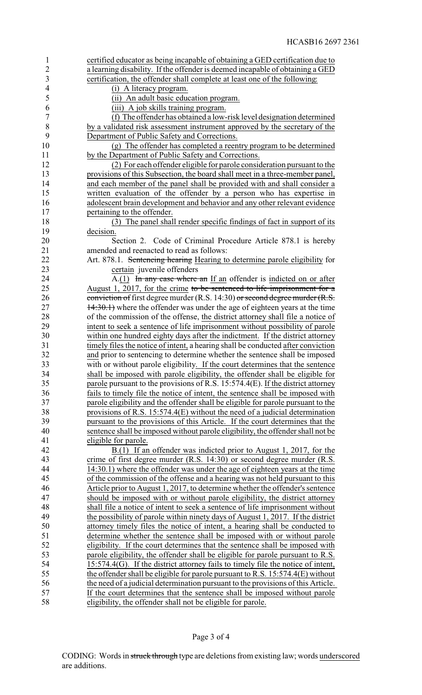| $\mathbf{1}$   | certified educator as being incapable of obtaining a GED certification due to       |
|----------------|-------------------------------------------------------------------------------------|
| $\overline{2}$ | a learning disability. If the offender is deemed incapable of obtaining a GED       |
| $\mathfrak{Z}$ | certification, the offender shall complete at least one of the following:           |
| $\overline{4}$ | (i) A literacy program.                                                             |
| 5              | (ii) An adult basic education program.                                              |
| 6              | (iii) A job skills training program.                                                |
| $\sqrt{ }$     | (f) The offender has obtained a low-risk level designation determined               |
| 8              | by a validated risk assessment instrument approved by the secretary of the          |
| 9              | Department of Public Safety and Corrections.                                        |
| 10             | (g) The offender has completed a reentry program to be determined                   |
| 11             | by the Department of Public Safety and Corrections.                                 |
| 12             |                                                                                     |
| 13             | (2) For each offender eligible for parole consideration pursuant to the             |
|                | provisions of this Subsection, the board shall meet in a three-member panel,        |
| 14             | and each member of the panel shall be provided with and shall consider a            |
| 15             | written evaluation of the offender by a person who has expertise in                 |
| 16             | adolescent brain development and behavior and any other relevant evidence           |
| 17             | pertaining to the offender.                                                         |
| 18             | (3) The panel shall render specific findings of fact in support of its              |
| 19             | decision.                                                                           |
| 20             | Section 2. Code of Criminal Procedure Article 878.1 is hereby                       |
| 21             | amended and reenacted to read as follows:                                           |
| 22             | Art. 878.1. Sentencing hearing Hearing to determine parole eligibility for          |
| 23             | certain juvenile offenders                                                          |
| 24             | $A(1)$ In any case where an If an offender is indicted on or after                  |
| 25             | August 1, 2017, for the crime to be sentenced to life imprisonment for a            |
| 26             | conviction of first degree murder (R.S. 14:30) or second degree murder (R.S.        |
| 27             | 14:30.1) where the offender was under the age of eighteen years at the time         |
| 28             | of the commission of the offense, the district attorney shall file a notice of      |
| 29             | intent to seek a sentence of life imprisonment without possibility of parole        |
| 30             | within one hundred eighty days after the indictment. If the district attorney       |
| 31             | timely files the notice of intent, a hearing shall be conducted after conviction    |
| 32             | and prior to sentencing to determine whether the sentence shall be imposed          |
| 33             | with or without parole eligibility. If the court determines that the sentence       |
| 34             | shall be imposed with parole eligibility, the offender shall be eligible for        |
| 35             | parole pursuant to the provisions of R.S. 15:574.4(E). If the district attorney     |
| 36             | fails to timely file the notice of intent, the sentence shall be imposed with       |
| 37             | parole eligibility and the offender shall be eligible for parole pursuant to the    |
| 38             | provisions of R.S. 15:574.4(E) without the need of a judicial determination         |
| 39             | pursuant to the provisions of this Article. If the court determines that the        |
| 40             | sentence shall be imposed without parole eligibility, the offender shall not be     |
| 41             | eligible for parole.                                                                |
| 42             | B.(1) If an offender was indicted prior to August 1, 2017, for the                  |
| 43             | crime of first degree murder $(R.S. 14:30)$ or second degree murder $(R.S. 14:30)$  |
| 44             | 14:30.1) where the offender was under the age of eighteen years at the time         |
| 45             | of the commission of the offense and a hearing was not held pursuant to this        |
| 46             | Article prior to August 1, 2017, to determine whether the offender's sentence       |
| 47             | should be imposed with or without parole eligibility, the district attorney         |
| 48             | shall file a notice of intent to seek a sentence of life imprisonment without       |
| 49             | the possibility of parole within ninety days of August 1, 2017. If the district     |
| 50             | attorney timely files the notice of intent, a hearing shall be conducted to         |
| 51             | determine whether the sentence shall be imposed with or without parole              |
| 52             | eligibility. If the court determines that the sentence shall be imposed with        |
| 53             | parole eligibility, the offender shall be eligible for parole pursuant to R.S.      |
| 54             | $15:574.4(G)$ . If the district attorney fails to timely file the notice of intent, |
| 55             | the offender shall be eligible for parole pursuant to R.S. 15:574.4(E) without      |
| 56             | the need of a judicial determination pursuant to the provisions of this Article.    |
| 57             | If the court determines that the sentence shall be imposed without parole           |
| 58             | eligibility, the offender shall not be eligible for parole.                         |